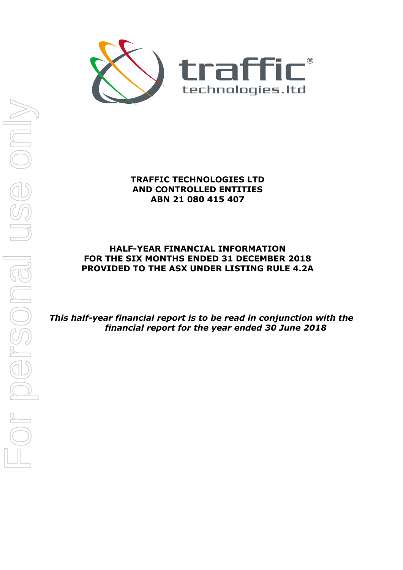

**TRAFFIC TECHNOLOGIES LTD AND CONTROLLED ENTITIES ABN 21 080 415 407** 

# **HALF-YEAR FINANCIAL INFORMATION FOR THE SIX MONTHS ENDED 31 DECEMBER 2018 PROVIDED TO THE ASX UNDER LISTING RULE 4.2A**

*This half-year financial report is to be read in conjunction with the financial report for the year ended 30 June 2018*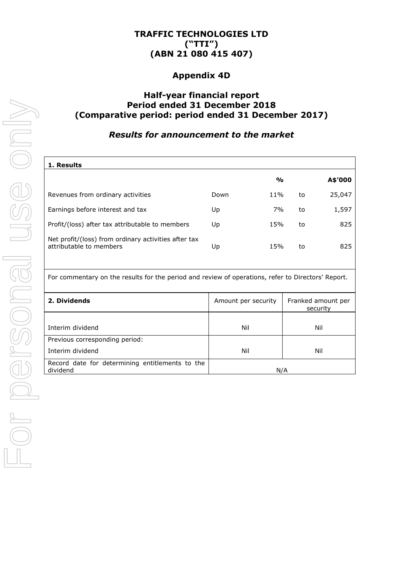# **TRAFFIC TECHNOLOGIES LTD ("TTI") (ABN 21 080 415 407)**

# **Appendix 4D**

# **Half-year financial report Period ended 31 December 2018 (Comparative period: period ended 31 December 2017)**

# *Results for announcement to the market*

| 1. Results                                                                      |      |               |    |         |
|---------------------------------------------------------------------------------|------|---------------|----|---------|
|                                                                                 |      | $\frac{0}{0}$ |    | A\$'000 |
| Revenues from ordinary activities                                               | Down | 11%           | to | 25,047  |
| Earnings before interest and tax                                                | Up   | 7%            | to | 1,597   |
| Profit/(loss) after tax attributable to members                                 | Up   | 15%           | to | 825     |
| Net profit/(loss) from ordinary activities after tax<br>attributable to members | Up   | 15%           | to | 825     |

For commentary on the results for the period and review of operations, refer to Directors' Report.

| 2. Dividends                                                | Amount per security | Franked amount per<br>security |  |
|-------------------------------------------------------------|---------------------|--------------------------------|--|
|                                                             |                     |                                |  |
| Interim dividend                                            | Nil                 | Nil                            |  |
| Previous corresponding period:                              |                     |                                |  |
| Interim dividend                                            | Nil                 | Nil                            |  |
| Record date for determining entitlements to the<br>dividend |                     |                                |  |
|                                                             |                     | N/A                            |  |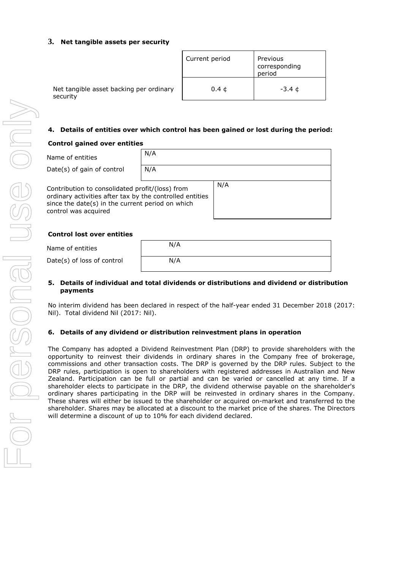### **3. Net tangible assets per security**

|                                                     | Current period | Previous<br>corresponding<br>period |
|-----------------------------------------------------|----------------|-------------------------------------|
| Net tangible asset backing per ordinary<br>security |                | -3.4 ¢                              |

### **4. Details of entities over which control has been gained or lost during the period:**

#### **Control gained over entities**

| Name of entities                                                                                                                                                                        | N/A |     |
|-----------------------------------------------------------------------------------------------------------------------------------------------------------------------------------------|-----|-----|
| Date(s) of gain of control                                                                                                                                                              | N/A |     |
| Contribution to consolidated profit/(loss) from<br>ordinary activities after tax by the controlled entities<br>since the date(s) in the current period on which<br>control was acquired |     | N/A |

#### **Control lost over entities**

| Name of entities           | N/A |  |
|----------------------------|-----|--|
| Date(s) of loss of control | N/A |  |

### **5. Details of individual and total dividends or distributions and dividend or distribution payments**

No interim dividend has been declared in respect of the half-year ended 31 December 2018 (2017: Nil). Total dividend Nil (2017: Nil).

### **6. Details of any dividend or distribution reinvestment plans in operation**

The Company has adopted a Dividend Reinvestment Plan (DRP) to provide shareholders with the opportunity to reinvest their dividends in ordinary shares in the Company free of brokerage, commissions and other transaction costs. The DRP is governed by the DRP rules. Subject to the DRP rules, participation is open to shareholders with registered addresses in Australian and New Zealand. Participation can be full or partial and can be varied or cancelled at any time. If a shareholder elects to participate in the DRP, the dividend otherwise payable on the shareholder's ordinary shares participating in the DRP will be reinvested in ordinary shares in the Company. These shares will either be issued to the shareholder or acquired on-market and transferred to the shareholder. Shares may be allocated at a discount to the market price of the shares. The Directors will determine a discount of up to 10% for each dividend declared.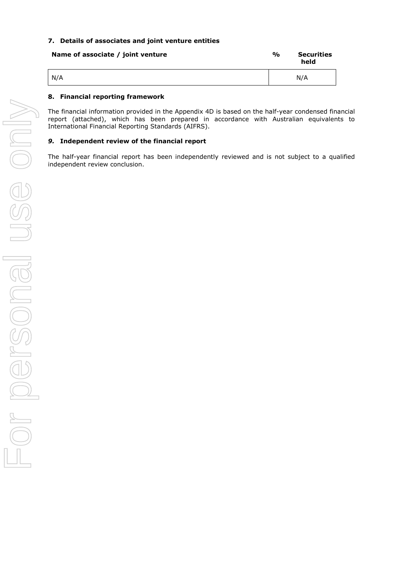### **7. Details of associates and joint venture entities**

| Name of associate / joint venture | $\frac{1}{2}$ | <b>Securities</b><br>held |
|-----------------------------------|---------------|---------------------------|
| N/A                               |               | N/A                       |

### **8. Financial reporting framework**

The financial information provided in the Appendix 4D is based on the half-year condensed financial report (attached), which has been prepared in accordance with Australian equivalents to International Financial Reporting Standards (AIFRS).

### *9.* **Independent review of the financial report**

The half-year financial report has been independently reviewed and is not subject to a qualified independent review conclusion.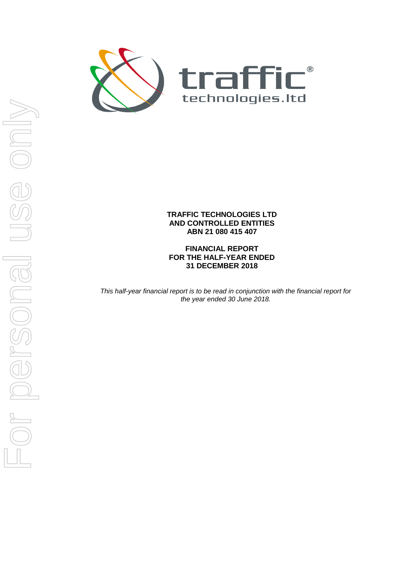

## **TRAFFIC TECHNOLOGIES LTD AND CONTROLLED ENTITIES ABN 21 080 415 407**

**FINANCIAL REPORT FOR THE HALF-YEAR ENDED 31 DECEMBER 2018** 

*This half-year financial report is to be read in conjunction with the financial report for the year ended 30 June 2018.*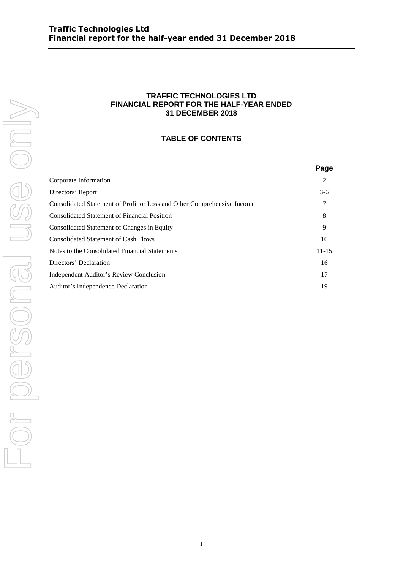## **TRAFFIC TECHNOLOGIES LTD FINANCIAL REPORT FOR THE HALF-YEAR ENDED 31 DECEMBER 2018**

## **TABLE OF CONTENTS**

|                                                                         | Page      |
|-------------------------------------------------------------------------|-----------|
| Corporate Information                                                   | 2         |
| Directors' Report                                                       | $3-6$     |
| Consolidated Statement of Profit or Loss and Other Comprehensive Income |           |
| <b>Consolidated Statement of Financial Position</b>                     | 8         |
| Consolidated Statement of Changes in Equity                             | 9         |
| <b>Consolidated Statement of Cash Flows</b>                             | 10        |
| Notes to the Consolidated Financial Statements                          | $11 - 15$ |
| Directors' Declaration                                                  | 16        |
| Independent Auditor's Review Conclusion                                 | 17        |
| Auditor's Independence Declaration                                      | 19        |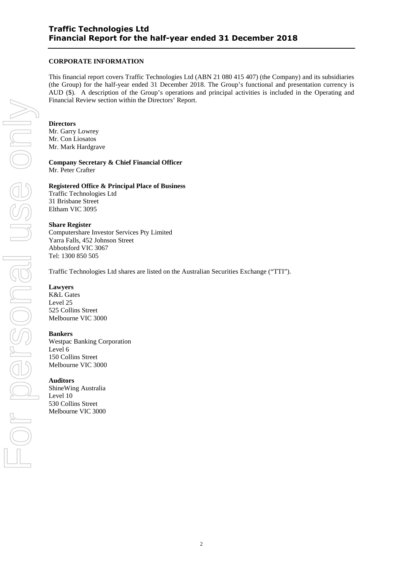### **CORPORATE INFORMATION**

This financial report covers Traffic Technologies Ltd (ABN 21 080 415 407) (the Company) and its subsidiaries (the Group) for the half-year ended 31 December 2018. The Group's functional and presentation currency is AUD (\$). A description of the Group's operations and principal activities is included in the Operating and Financial Review section within the Directors' Report.

#### **Directors**

Mr. Garry Lowrey Mr. Con Liosatos Mr. Mark Hardgrave

## **Company Secretary & Chief Financial Officer**

Mr. Peter Crafter

#### **Registered Office & Principal Place of Business**

Traffic Technologies Ltd 31 Brisbane Street Eltham VIC 3095

### **Share Register**

Computershare Investor Services Pty Limited Yarra Falls, 452 Johnson Street Abbotsford VIC 3067 Tel: 1300 850 505

Traffic Technologies Ltd shares are listed on the Australian Securities Exchange ("TTI").

### **Lawyers**

K&L Gates Level 25 525 Collins Street Melbourne VIC 3000

### **Bankers**

Westpac Banking Corporation Level 6 150 Collins Street Melbourne VIC 3000

### **Auditors**

ShineWing Australia Level 10 530 Collins Street Melbourne VIC 3000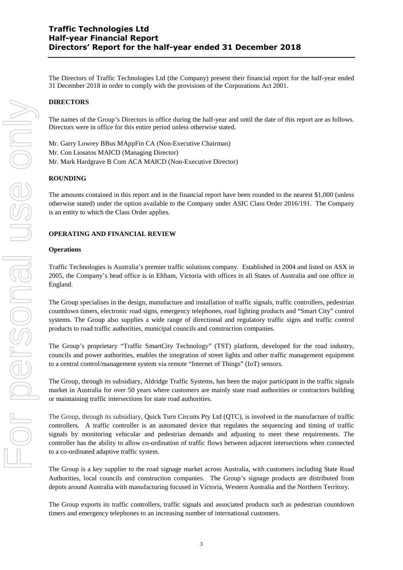The Directors of Traffic Technologies Ltd (the Company) present their financial report for the half-year ended 31 December 2018 in order to comply with the provisions of the Corporations Act 2001.

### **DIRECTORS**

The names of the Group's Directors in office during the half-year and until the date of this report are as follows. Directors were in office for this entire period unless otherwise stated.

Mr. Garry Lowrey BBus MAppFin CA (Non-Executive Chairman) Mr. Con Liosatos MAICD (Managing Director) Mr. Mark Hardgrave B Com ACA MAICD (Non-Executive Director)

### **ROUNDING**

The amounts contained in this report and in the financial report have been rounded to the nearest \$1,000 (unless otherwise stated) under the option available to the Company under ASIC Class Order 2016/191. The Company is an entity to which the Class Order applies.

### **OPERATING AND FINANCIAL REVIEW**

#### **Operations**

Traffic Technologies is Australia's premier traffic solutions company. Established in 2004 and listed on ASX in 2005, the Company's head office is in Eltham, Victoria with offices in all States of Australia and one office in England.

The Group specialises in the design, manufacture and installation of traffic signals, traffic controllers, pedestrian countdown timers, electronic road signs, emergency telephones, road lighting products and "Smart City" control systems. The Group also supplies a wide range of directional and regulatory traffic signs and traffic control products to road traffic authorities, municipal councils and construction companies.

The Group's proprietary "Traffic SmartCity Technology" (TST) platform, developed for the road industry, councils and power authorities, enables the integration of street lights and other traffic management equipment to a central control/management system via remote "Internet of Things" (IoT) sensors.

The Group, through its subsidiary, Aldridge Traffic Systems, has been the major participant in the traffic signals market in Australia for over 50 years where customers are mainly state road authorities or contractors building or maintaining traffic intersections for state road authorities.

The Group, through its subsidiary, Quick Turn Circuits Pty Ltd (QTC), is involved in the manufacture of traffic controllers. A traffic controller is an automated device that regulates the sequencing and timing of traffic signals by monitoring vehicular and pedestrian demands and adjusting to meet these requirements. The controller has the ability to allow co-ordination of traffic flows between adjacent intersections when connected to a co-ordinated adaptive traffic system.

The Group is a key supplier to the road signage market across Australia, with customers including State Road Authorities, local councils and construction companies. The Group's signage products are distributed from depots around Australia with manufacturing focused in Victoria, Western Australia and the Northern Territory.

The Group exports its traffic controllers, traffic signals and associated products such as pedestrian countdown timers and emergency telephones to an increasing number of international customers.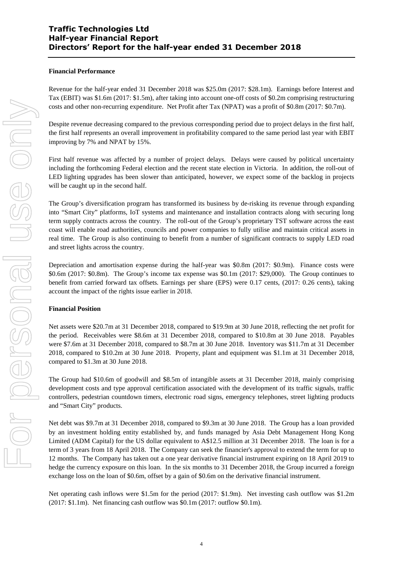## **Traffic Technologies Ltd Half-year Financial Report Directors' Report for the half-year ended 31 December 2018**

#### **Financial Performance**

Revenue for the half-year ended 31 December 2018 was \$25.0m (2017: \$28.1m). Earnings before Interest and Tax (EBIT) was \$1.6m (2017: \$1.5m), after taking into account one-off costs of \$0.2m comprising restructuring costs and other non-recurring expenditure. Net Profit after Tax (NPAT) was a profit of \$0.8m (2017: \$0.7m).

Despite revenue decreasing compared to the previous corresponding period due to project delays in the first half, the first half represents an overall improvement in profitability compared to the same period last year with EBIT improving by 7% and NPAT by 15%.

First half revenue was affected by a number of project delays. Delays were caused by political uncertainty including the forthcoming Federal election and the recent state election in Victoria. In addition, the roll-out of LED lighting upgrades has been slower than anticipated, however, we expect some of the backlog in projects will be caught up in the second half.

The Group's diversification program has transformed its business by de-risking its revenue through expanding into "Smart City" platforms, IoT systems and maintenance and installation contracts along with securing long term supply contracts across the country. The roll-out of the Group's proprietary TST software across the east coast will enable road authorities, councils and power companies to fully utilise and maintain critical assets in real time. The Group is also continuing to benefit from a number of significant contracts to supply LED road and street lights across the country.

Depreciation and amortisation expense during the half-year was \$0.8m (2017: \$0.9m). Finance costs were \$0.6m (2017: \$0.8m). The Group's income tax expense was \$0.1m (2017: \$29,000). The Group continues to benefit from carried forward tax offsets. Earnings per share (EPS) were 0.17 cents, (2017: 0.26 cents), taking account the impact of the rights issue earlier in 2018.

#### **Financial Position**

Net assets were \$20.7m at 31 December 2018, compared to \$19.9m at 30 June 2018, reflecting the net profit for the period. Receivables were \$8.6m at 31 December 2018, compared to \$10.8m at 30 June 2018. Payables were \$7.6m at 31 December 2018, compared to \$8.7m at 30 June 2018. Inventory was \$11.7m at 31 December 2018, compared to \$10.2m at 30 June 2018. Property, plant and equipment was \$1.1m at 31 December 2018, compared to \$1.3m at 30 June 2018.

The Group had \$10.6m of goodwill and \$8.5m of intangible assets at 31 December 2018, mainly comprising development costs and type approval certification associated with the development of its traffic signals, traffic controllers, pedestrian countdown timers, electronic road signs, emergency telephones, street lighting products and "Smart City" products.

Net debt was \$9.7m at 31 December 2018, compared to \$9.3m at 30 June 2018. The Group has a loan provided by an investment holding entity established by, and funds managed by Asia Debt Management Hong Kong Limited (ADM Capital) for the US dollar equivalent to A\$12.5 million at 31 December 2018. The loan is for a term of 3 years from 18 April 2018. The Company can seek the financier's approval to extend the term for up to 12 months. The Company has taken out a one year derivative financial instrument expiring on 18 April 2019 to hedge the currency exposure on this loan. In the six months to 31 December 2018, the Group incurred a foreign exchange loss on the loan of \$0.6m, offset by a gain of \$0.6m on the derivative financial instrument.

Net operating cash inflows were \$1.5m for the period (2017: \$1.9m). Net investing cash outflow was \$1.2m (2017: \$1.1m). Net financing cash outflow was \$0.1m (2017: outflow \$0.1m).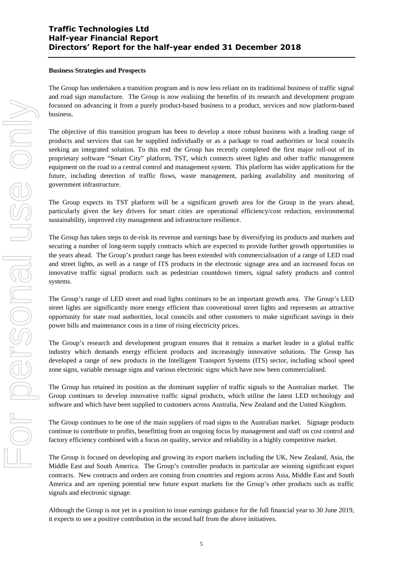## **Traffic Technologies Ltd Half-year Financial Report Directors' Report for the half-year ended 31 December 2018**

### **Business Strategies and Prospects**

The Group has undertaken a transition program and is now less reliant on its traditional business of traffic signal and road sign manufacture. The Group is now realising the benefits of its research and development program focussed on advancing it from a purely product-based business to a product, services and now platform-based business.

The objective of this transition program has been to develop a more robust business with a leading range of products and services that can be supplied individually or as a package to road authorities or local councils seeking an integrated solution. To this end the Group has recently completed the first major roll-out of its proprietary software "Smart City" platform, TST, which connects street lights and other traffic management equipment on the road to a central control and management system. This platform has wider applications for the future, including detection of traffic flows, waste management, parking availability and monitoring of government infrastructure.

The Group expects its TST platform will be a significant growth area for the Group in the years ahead, particularly given the key drivers for smart cities are operational efficiency/cost reduction, environmental sustainability, improved city management and infrastructure resilience.

The Group has taken steps to de-risk its revenue and earnings base by diversifying its products and markets and securing a number of long-term supply contracts which are expected to provide further growth opportunities in the years ahead. The Group's product range has been extended with commercialisation of a range of LED road and street lights, as well as a range of ITS products in the electronic signage area and an increased focus on innovative traffic signal products such as pedestrian countdown timers, signal safety products and control systems.

The Group's range of LED street and road lights continues to be an important growth area. The Group's LED street lights are significantly more energy efficient than conventional street lights and represents an attractive opportunity for state road authorities, local councils and other customers to make significant savings in their power bills and maintenance costs in a time of rising electricity prices.

The Group's research and development program ensures that it remains a market leader in a global traffic industry which demands energy efficient products and increasingly innovative solutions. The Group has developed a range of new products in the Intelligent Transport Systems (ITS) sector, including school speed zone signs, variable message signs and various electronic signs which have now been commercialised.

The Group has retained its position as the dominant supplier of traffic signals to the Australian market. The Group continues to develop innovative traffic signal products, which utilise the latest LED technology and software and which have been supplied to customers across Australia, New Zealand and the United Kingdom.

The Group continues to be one of the main suppliers of road signs to the Australian market. Signage products continue to contribute to profits, benefitting from an ongoing focus by management and staff on cost control and factory efficiency combined with a focus on quality, service and reliability in a highly competitive market.

The Group is focused on developing and growing its export markets including the UK, New Zealand, Asia, the Middle East and South America. The Group's controller products in particular are winning significant export contracts. New contracts and orders are coming from countries and regions across Asia, Middle East and South America and are opening potential new future export markets for the Group's other products such as traffic signals and electronic signage.

Although the Group is not yet in a position to issue earnings guidance for the full financial year to 30 June 2019, it expects to see a positive contribution in the second half from the above initiatives.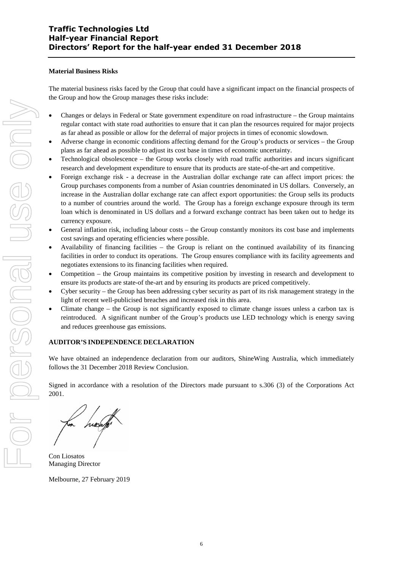#### **Material Business Risks**

The material business risks faced by the Group that could have a significant impact on the financial prospects of the Group and how the Group manages these risks include:

- Changes or delays in Federal or State government expenditure on road infrastructure the Group maintains regular contact with state road authorities to ensure that it can plan the resources required for major projects as far ahead as possible or allow for the deferral of major projects in times of economic slowdown.
- Adverse change in economic conditions affecting demand for the Group's products or services the Group plans as far ahead as possible to adjust its cost base in times of economic uncertainty.
- Technological obsolescence the Group works closely with road traffic authorities and incurs significant research and development expenditure to ensure that its products are state-of-the-art and competitive.
- Foreign exchange risk a decrease in the Australian dollar exchange rate can affect import prices: the Group purchases components from a number of Asian countries denominated in US dollars. Conversely, an increase in the Australian dollar exchange rate can affect export opportunities: the Group sells its products to a number of countries around the world. The Group has a foreign exchange exposure through its term loan which is denominated in US dollars and a forward exchange contract has been taken out to hedge its currency exposure.
- General inflation risk, including labour costs the Group constantly monitors its cost base and implements cost savings and operating efficiencies where possible.
- Availability of financing facilities the Group is reliant on the continued availability of its financing facilities in order to conduct its operations. The Group ensures compliance with its facility agreements and negotiates extensions to its financing facilities when required.
- Competition the Group maintains its competitive position by investing in research and development to ensure its products are state-of the-art and by ensuring its products are priced competitively.
- Cyber security the Group has been addressing cyber security as part of its risk management strategy in the light of recent well-publicised breaches and increased risk in this area.
- Climate change the Group is not significantly exposed to climate change issues unless a carbon tax is reintroduced. A significant number of the Group's products use LED technology which is energy saving and reduces greenhouse gas emissions.

### **AUDITOR'S INDEPENDENCE DECLARATION**

We have obtained an independence declaration from our auditors, ShineWing Australia, which immediately follows the 31 December 2018 Review Conclusion.

Signed in accordance with a resolution of the Directors made pursuant to s.306 (3) of the Corporations Act 2001.

Con Liosatos Managing Director

Melbourne, 27 February 2019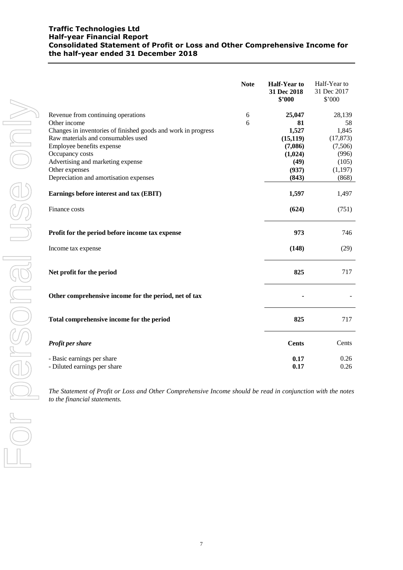### **Traffic Technologies Ltd Half-year Financial Report Consolidated Statement of Profit or Loss and Other Comprehensive Income for the half-year ended 31 December 2018**

|                                                               | <b>Note</b> | <b>Half-Year to</b><br>31 Dec 2018<br>\$2000 | Half-Year to<br>31 Dec 2017<br>\$'000 |
|---------------------------------------------------------------|-------------|----------------------------------------------|---------------------------------------|
| Revenue from continuing operations                            | 6           | 25,047                                       | 28,139                                |
| Other income                                                  | 6           | 81                                           | 58                                    |
| Changes in inventories of finished goods and work in progress |             | 1,527                                        | 1,845                                 |
| Raw materials and consumables used                            |             | (15, 119)                                    | (17, 873)                             |
| Employee benefits expense                                     |             | (7,086)                                      | (7,506)                               |
| Occupancy costs                                               |             | (1,024)                                      | (996)                                 |
| Advertising and marketing expense                             |             | (49)                                         | (105)                                 |
| Other expenses                                                |             | (937)                                        | (1, 197)                              |
| Depreciation and amortisation expenses                        |             | (843)                                        | (868)                                 |
| Earnings before interest and tax (EBIT)                       |             | 1,597                                        | 1,497                                 |
| Finance costs                                                 |             | (624)                                        | (751)                                 |
| Profit for the period before income tax expense               |             | 973                                          | 746                                   |
| Income tax expense                                            |             | (148)                                        | (29)                                  |
| Net profit for the period                                     |             | 825                                          | 717                                   |
| Other comprehensive income for the period, net of tax         |             |                                              |                                       |
| Total comprehensive income for the period                     |             | 825                                          | 717                                   |
| Profit per share                                              |             | <b>Cents</b>                                 | Cents                                 |
| - Basic earnings per share                                    |             | 0.17                                         | 0.26                                  |
| - Diluted earnings per share                                  |             | 0.17                                         | 0.26                                  |
|                                                               |             |                                              |                                       |

*The Statement of Profit or Loss and Other Comprehensive Income should be read in conjunction with the notes to the financial statements.*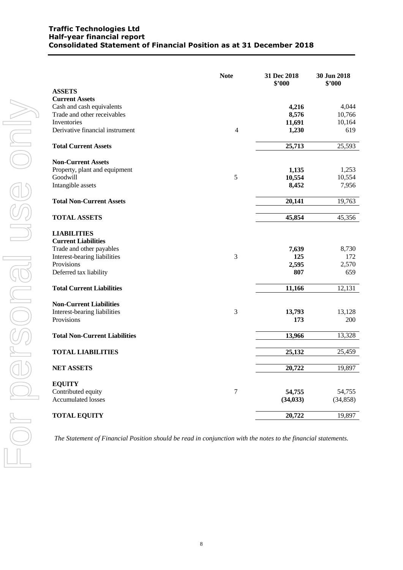|                                                  | <b>Note</b>    | 31 Dec 2018<br>\$'000 | 30 Jun 2018<br>\$'000 |
|--------------------------------------------------|----------------|-----------------------|-----------------------|
| <b>ASSETS</b>                                    |                |                       |                       |
| <b>Current Assets</b>                            |                |                       |                       |
| Cash and cash equivalents                        |                | 4,216                 | 4,044                 |
| Trade and other receivables                      |                | 8,576                 | 10,766                |
| Inventories                                      |                | 11,691                | 10,164                |
| Derivative financial instrument                  | $\overline{4}$ | 1,230                 | 619                   |
| <b>Total Current Assets</b>                      |                | 25,713                | 25,593                |
| <b>Non-Current Assets</b>                        |                |                       |                       |
| Property, plant and equipment                    |                | 1,135                 | 1,253                 |
| Goodwill                                         | 5              | 10,554                | 10,554                |
| Intangible assets                                |                | 8,452                 | 7,956                 |
| <b>Total Non-Current Assets</b>                  |                | 20,141                | 19,763                |
| <b>TOTAL ASSETS</b>                              |                | 45,854                | 45,356                |
|                                                  |                |                       |                       |
| <b>LIABILITIES</b><br><b>Current Liabilities</b> |                |                       |                       |
| Trade and other payables                         |                | 7,639                 | 8,730                 |
| Interest-bearing liabilities                     | 3              | 125                   | 172                   |
| Provisions                                       |                | 2,595                 | 2,570                 |
| Deferred tax liability                           |                | 807                   | 659                   |
| <b>Total Current Liabilities</b>                 |                | 11,166                | 12,131                |
|                                                  |                |                       |                       |
| <b>Non-Current Liabilities</b>                   |                |                       |                       |
| Interest-bearing liabilities                     | 3              | 13,793                | 13,128                |
| Provisions                                       |                | 173                   | 200                   |
| <b>Total Non-Current Liabilities</b>             |                | 13,966                | 13,328                |
| <b>TOTAL LIABILITIES</b>                         |                | 25,132                | 25,459                |
|                                                  |                |                       |                       |
| <b>NET ASSETS</b>                                |                | 20,722                | 19,897                |
| <b>EQUITY</b>                                    |                |                       |                       |
| Contributed equity                               | $\tau$         | 54,755                | 54,755                |
| Accumulated losses                               |                | (34, 033)             | (34, 858)             |
| <b>TOTAL EQUITY</b>                              |                | 20,722                | 19,897                |

*The Statement of Financial Position should be read in conjunction with the notes to the financial statements.*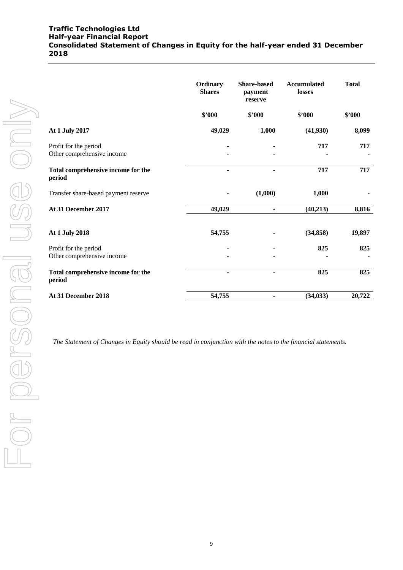### **Traffic Technologies Ltd Half-year Financial Report Consolidated Statement of Changes in Equity for the half-year ended 31 December 2018**

|                                                     | Ordinary<br><b>Shares</b> | <b>Share-based</b><br>payment<br>reserve | <b>Accumulated</b><br>losses | <b>Total</b> |
|-----------------------------------------------------|---------------------------|------------------------------------------|------------------------------|--------------|
|                                                     | \$'000                    | \$2000                                   | \$2000                       | \$2000       |
| At 1 July 2017                                      | 49,029                    | 1,000                                    | (41,930)                     | 8,099        |
| Profit for the period<br>Other comprehensive income |                           |                                          | 717                          | 717          |
| Total comprehensive income for the<br>period        |                           |                                          | 717                          | 717          |
| Transfer share-based payment reserve                |                           | (1,000)                                  | 1,000                        |              |
| At 31 December 2017                                 | 49,029                    | ۰                                        | (40, 213)                    | 8,816        |
| At 1 July 2018                                      | 54,755                    | ٠                                        | (34, 858)                    | 19,897       |
| Profit for the period<br>Other comprehensive income |                           |                                          | 825                          | 825          |
| Total comprehensive income for the<br>period        | ۰                         | ۰                                        | 825                          | 825          |
| At 31 December 2018                                 | 54,755                    | ۰                                        | (34, 033)                    | 20,722       |

*The Statement of Changes in Equity should be read in conjunction with the notes to the financial statements.*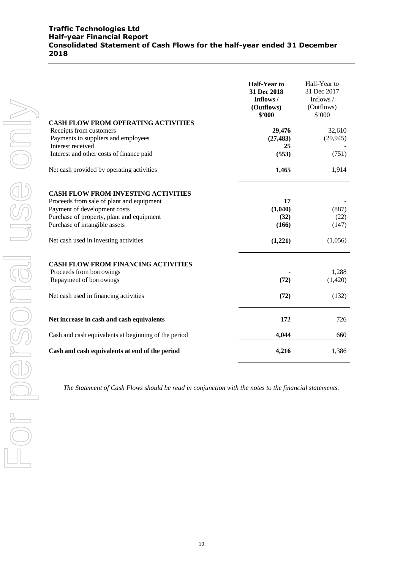### **Traffic Technologies Ltd Half-year Financial Report Consolidated Statement of Cash Flows for the half-year ended 31 December 2018**

|                                                                                                                                                                                                                                                                                              | <b>Half-Year to</b><br>31 Dec 2018<br>Inflows /<br>(Outflows)<br>\$'000 | Half-Year to<br>31 Dec 2017<br>Inflows /<br>(Outflows)<br>\$'000 |
|----------------------------------------------------------------------------------------------------------------------------------------------------------------------------------------------------------------------------------------------------------------------------------------------|-------------------------------------------------------------------------|------------------------------------------------------------------|
| <b>CASH FLOW FROM OPERATING ACTIVITIES</b><br>Receipts from customers<br>Payments to suppliers and employees<br>Interest received<br>Interest and other costs of finance paid                                                                                                                | 29,476<br>(27, 483)<br>25<br>(553)                                      | 32,610<br>(29, 945)<br>(751)                                     |
| Net cash provided by operating activities                                                                                                                                                                                                                                                    | 1,465                                                                   | 1,914                                                            |
| <b>CASH FLOW FROM INVESTING ACTIVITIES</b><br>Proceeds from sale of plant and equipment<br>Payment of development costs<br>Purchase of property, plant and equipment<br>Purchase of intangible assets<br>Net cash used in investing activities<br><b>CASH FLOW FROM FINANCING ACTIVITIES</b> | 17<br>(1,040)<br>(32)<br>(166)<br>(1,221)                               | (887)<br>(22)<br>(147)<br>(1,056)                                |
| Proceeds from borrowings<br>Repayment of borrowings                                                                                                                                                                                                                                          | (72)                                                                    | 1,288<br>(1,420)                                                 |
| Net cash used in financing activities                                                                                                                                                                                                                                                        | (72)                                                                    | (132)                                                            |
| Net increase in cash and cash equivalents                                                                                                                                                                                                                                                    | 172                                                                     | 726                                                              |
| Cash and cash equivalents at beginning of the period                                                                                                                                                                                                                                         | 4,044                                                                   | 660                                                              |
| Cash and cash equivalents at end of the period                                                                                                                                                                                                                                               | 4,216                                                                   | 1,386                                                            |

*The Statement of Cash Flows should be read in conjunction with the notes to the financial statements.*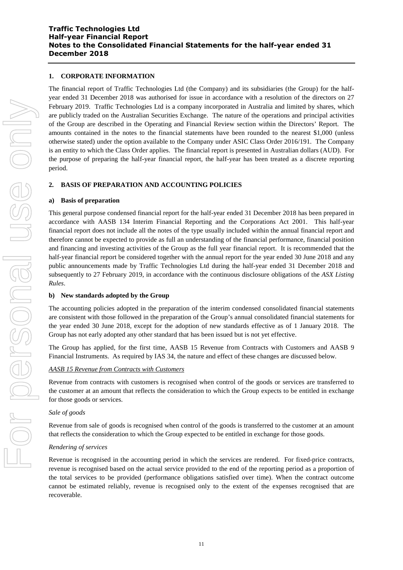### **1. CORPORATE INFORMATION**

The financial report of Traffic Technologies Ltd (the Company) and its subsidiaries (the Group) for the halfyear ended 31 December 2018 was authorised for issue in accordance with a resolution of the directors on 27 February 2019. Traffic Technologies Ltd is a company incorporated in Australia and limited by shares, which are publicly traded on the Australian Securities Exchange. The nature of the operations and principal activities of the Group are described in the Operating and Financial Review section within the Directors' Report. The amounts contained in the notes to the financial statements have been rounded to the nearest \$1,000 (unless otherwise stated) under the option available to the Company under ASIC Class Order 2016/191. The Company is an entity to which the Class Order applies. The financial report is presented in Australian dollars (AUD). For the purpose of preparing the half-year financial report, the half-year has been treated as a discrete reporting period.

#### **2. BASIS OF PREPARATION AND ACCOUNTING POLICIES**

#### **a) Basis of preparation**

This general purpose condensed financial report for the half-year ended 31 December 2018 has been prepared in accordance with AASB 134 Interim Financial Reporting and the Corporations Act 2001. This half-year financial report does not include all the notes of the type usually included within the annual financial report and therefore cannot be expected to provide as full an understanding of the financial performance, financial position and financing and investing activities of the Group as the full year financial report. It is recommended that the half-year financial report be considered together with the annual report for the year ended 30 June 2018 and any public announcements made by Traffic Technologies Ltd during the half-year ended 31 December 2018 and subsequently to 27 February 2019, in accordance with the continuous disclosure obligations of the *ASX Listing Rules*.

#### **b) New standards adopted by the Group**

The accounting policies adopted in the preparation of the interim condensed consolidated financial statements are consistent with those followed in the preparation of the Group's annual consolidated financial statements for the year ended 30 June 2018, except for the adoption of new standards effective as of 1 January 2018. The Group has not early adopted any other standard that has been issued but is not yet effective.

The Group has applied, for the first time, AASB 15 Revenue from Contracts with Customers and AASB 9 Financial Instruments. As required by IAS 34, the nature and effect of these changes are discussed below.

#### *AASB 15 Revenue from Contracts with Customers*

Revenue from contracts with customers is recognised when control of the goods or services are transferred to the customer at an amount that reflects the consideration to which the Group expects to be entitled in exchange for those goods or services.

#### *Sale of goods*

Revenue from sale of goods is recognised when control of the goods is transferred to the customer at an amount that reflects the consideration to which the Group expected to be entitled in exchange for those goods.

#### *Rendering of services*

Revenue is recognised in the accounting period in which the services are rendered. For fixed-price contracts, revenue is recognised based on the actual service provided to the end of the reporting period as a proportion of the total services to be provided (performance obligations satisfied over time). When the contract outcome cannot be estimated reliably, revenue is recognised only to the extent of the expenses recognised that are recoverable.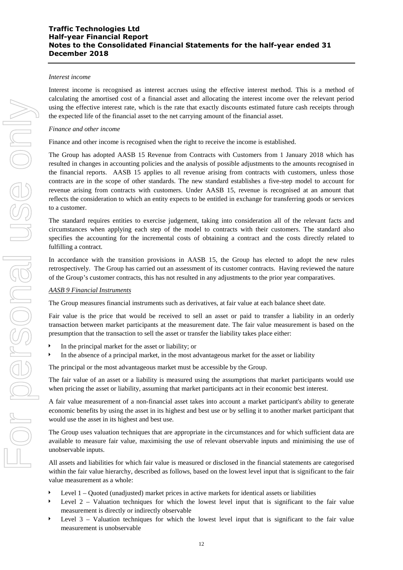#### *Interest income*

Interest income is recognised as interest accrues using the effective interest method. This is a method of calculating the amortised cost of a financial asset and allocating the interest income over the relevant period using the effective interest rate, which is the rate that exactly discounts estimated future cash receipts through the expected life of the financial asset to the net carrying amount of the financial asset.

#### *Finance and other income*

Finance and other income is recognised when the right to receive the income is established.

The Group has adopted AASB 15 Revenue from Contracts with Customers from 1 January 2018 which has resulted in changes in accounting policies and the analysis of possible adjustments to the amounts recognised in the financial reports. AASB 15 applies to all revenue arising from contracts with customers, unless those contracts are in the scope of other standards. The new standard establishes a five-step model to account for revenue arising from contracts with customers. Under AASB 15, revenue is recognised at an amount that reflects the consideration to which an entity expects to be entitled in exchange for transferring goods or services to a customer.

The standard requires entities to exercise judgement, taking into consideration all of the relevant facts and circumstances when applying each step of the model to contracts with their customers. The standard also specifies the accounting for the incremental costs of obtaining a contract and the costs directly related to fulfilling a contract.

In accordance with the transition provisions in AASB 15, the Group has elected to adopt the new rules retrospectively. The Group has carried out an assessment of its customer contracts. Having reviewed the nature of the Group's customer contracts, this has not resulted in any adjustments to the prior year comparatives.

#### *AASB 9 Financial Instruments*

The Group measures financial instruments such as derivatives, at fair value at each balance sheet date.

Fair value is the price that would be received to sell an asset or paid to transfer a liability in an orderly transaction between market participants at the measurement date. The fair value measurement is based on the presumption that the transaction to sell the asset or transfer the liability takes place either:

- In the principal market for the asset or liability; or
- In the absence of a principal market, in the most advantageous market for the asset or liability

The principal or the most advantageous market must be accessible by the Group.

The fair value of an asset or a liability is measured using the assumptions that market participants would use when pricing the asset or liability, assuming that market participants act in their economic best interest.

A fair value measurement of a non-financial asset takes into account a market participant's ability to generate economic benefits by using the asset in its highest and best use or by selling it to another market participant that would use the asset in its highest and best use.

The Group uses valuation techniques that are appropriate in the circumstances and for which sufficient data are available to measure fair value, maximising the use of relevant observable inputs and minimising the use of unobservable inputs.

All assets and liabilities for which fair value is measured or disclosed in the financial statements are categorised within the fair value hierarchy, described as follows, based on the lowest level input that is significant to the fair value measurement as a whole:

- Level 1 Quoted (unadjusted) market prices in active markets for identical assets or liabilities
- Level 2 Valuation techniques for which the lowest level input that is significant to the fair value measurement is directly or indirectly observable
- Level 3 Valuation techniques for which the lowest level input that is significant to the fair value measurement is unobservable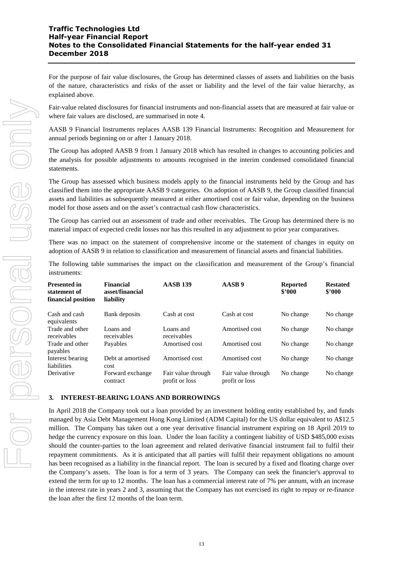For the purpose of fair value disclosures, the Group has determined classes of assets and liabilities on the basis of the nature, characteristics and risks of the asset or liability and the level of the fair value hierarchy, as explained above.

Fair-value related disclosures for financial instruments and non-financial assets that are measured at fair value or where fair values are disclosed, are summarised in note 4.

AASB 9 Financial Instruments replaces AASB 139 Financial Instruments: Recognition and Measurement for annual periods beginning on or after 1 January 2018.

The Group has adopted AASB 9 from 1 January 2018 which has resulted in changes to accounting policies and the analysis for possible adjustments to amounts recognised in the interim condensed consolidated financial statements.

The Group has assessed which business models apply to the financial instruments held by the Group and has classified them into the appropriate AASB 9 categories. On adoption of AASB 9, the Group classified financial assets and liabilities as subsequently measured at either amortised cost or fair value, depending on the business model for those assets and on the asset's contractual cash flow characteristics.

The Group has carried out an assessment of trade and other receivables. The Group has determined there is no material impact of expected credit losses nor has this resulted in any adjustment to prior year comparatives.

There was no impact on the statement of comprehensive income or the statement of changes in equity on adoption of AASB 9 in relation to classification and measurement of financial assets and financial liabilities.

The following table summarises the impact on the classification and measurement of the Group's financial instruments:

| Presented in<br>statement of<br>financial position | <b>Financial</b><br>asset/financial<br>liability | <b>AASB 139</b>                      | AASB <sub>9</sub>                    | <b>Reported</b><br>\$2000 | <b>Restated</b><br>\$2000 |
|----------------------------------------------------|--------------------------------------------------|--------------------------------------|--------------------------------------|---------------------------|---------------------------|
| Cash and cash<br>equivalents                       | Bank deposits                                    | Cash at cost                         | Cash at cost                         | No change                 | No change                 |
| Trade and other<br>receivables                     | Loans and<br>receivables                         | Loans and<br>receivables             | Amortised cost                       | No change                 | No change                 |
| Trade and other<br>payables                        | Payables                                         | Amortised cost                       | Amortised cost                       | No change                 | No change                 |
| Interest bearing<br>liabilities                    | Debt at amortised<br>cost                        | Amortised cost                       | Amortised cost                       | No change                 | No change                 |
| Derivative                                         | Forward exchange<br>contract                     | Fair value through<br>profit or loss | Fair value through<br>profit or loss | No change                 | No change                 |

#### **3. INTEREST-BEARING LOANS AND BORROWINGS**

In April 2018 the Company took out a loan provided by an investment holding entity established by, and funds managed by Asia Debt Management Hong Kong Limited (ADM Capital) for the US dollar equivalent to A\$12.5 million. The Company has taken out a one year derivative financial instrument expiring on 18 April 2019 to hedge the currency exposure on this loan. Under the loan facility a contingent liability of USD \$485,000 exists should the counter-parties to the loan agreement and related derivative financial instrument fail to fulfil their repayment commitments. As it is anticipated that all parties will fulfil their repayment obligations no amount has been recognised as a liability in the financial report. The loan is secured by a fixed and floating charge over the Company's assets. The loan is for a term of 3 years. The Company can seek the financier's approval to extend the term for up to 12 months. The loan has a commercial interest rate of 7% per annum, with an increase in the interest rate in years 2 and 3, assuming that the Company has not exercised its right to repay or re-finance the loan after the first 12 months of the loan term.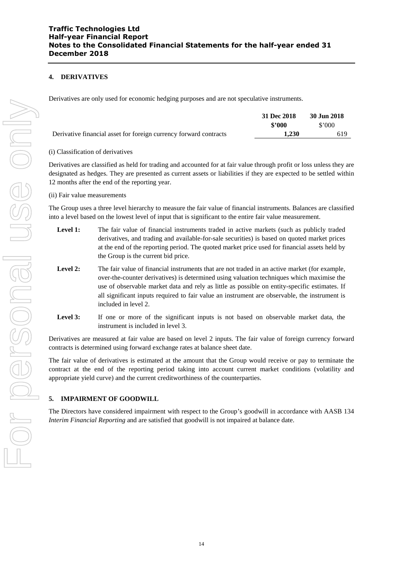## **4. DERIVATIVES**

Derivatives are only used for economic hedging purposes and are not speculative instruments.

|                                                                   | 31 Dec 2018 | 30 Jun 2018    |
|-------------------------------------------------------------------|-------------|----------------|
|                                                                   | \$2000      | $$^{\circ}000$ |
| Derivative financial asset for foreign currency forward contracts | 1.230       | 619            |

### (i) Classification of derivatives

Derivatives are classified as held for trading and accounted for at fair value through profit or loss unless they are designated as hedges. They are presented as current assets or liabilities if they are expected to be settled within 12 months after the end of the reporting year.

### (ii) Fair value measurements

The Group uses a three level hierarchy to measure the fair value of financial instruments. Balances are classified into a level based on the lowest level of input that is significant to the entire fair value measurement.

- Level 1: The fair value of financial instruments traded in active markets (such as publicly traded derivatives, and trading and available-for-sale securities) is based on quoted market prices at the end of the reporting period. The quoted market price used for financial assets held by the Group is the current bid price.
- Level 2: The fair value of financial instruments that are not traded in an active market (for example, over-the-counter derivatives) is determined using valuation techniques which maximise the use of observable market data and rely as little as possible on entity-specific estimates. If all significant inputs required to fair value an instrument are observable, the instrument is included in level 2.
- Level 3: If one or more of the significant inputs is not based on observable market data, the instrument is included in level 3.

Derivatives are measured at fair value are based on level 2 inputs. The fair value of foreign currency forward contracts is determined using forward exchange rates at balance sheet date.

The fair value of derivatives is estimated at the amount that the Group would receive or pay to terminate the contract at the end of the reporting period taking into account current market conditions (volatility and appropriate yield curve) and the current creditworthiness of the counterparties.

### **5. IMPAIRMENT OF GOODWILL**

The Directors have considered impairment with respect to the Group's goodwill in accordance with AASB 134 *Interim Financial Reporting* and are satisfied that goodwill is not impaired at balance date.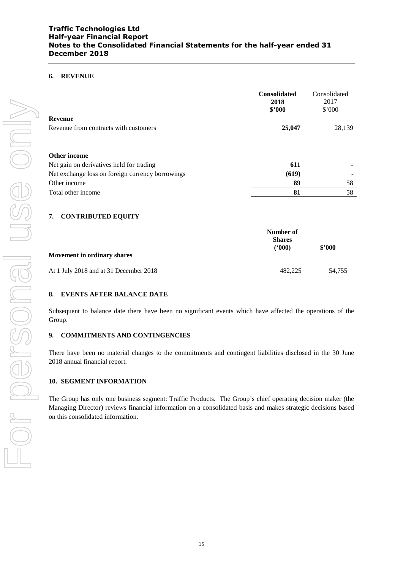### **6. REVENUE**

|                                                  | <b>Consolidated</b><br>2018<br>\$2000 | Consolidated<br>2017<br>\$'000 |
|--------------------------------------------------|---------------------------------------|--------------------------------|
| <b>Revenue</b>                                   |                                       |                                |
| Revenue from contracts with customers            | 25,047                                | 28,139                         |
| Other income                                     |                                       |                                |
| Net gain on derivatives held for trading         | 611                                   |                                |
| Net exchange loss on foreign currency borrowings | (619)                                 |                                |
| Other income                                     | 89                                    | 58                             |
| Total other income                               | 81                                    | 58                             |

### **7. CONTRIBUTED EQUITY**

|                                        | Number of<br><b>Shares</b> |        |
|----------------------------------------|----------------------------|--------|
| <b>Movement in ordinary shares</b>     | (5000)                     | \$2000 |
| At 1 July 2018 and at 31 December 2018 | 482.225                    | 54.755 |

### **8. EVENTS AFTER BALANCE DATE**

Subsequent to balance date there have been no significant events which have affected the operations of the Group.

#### **9. COMMITMENTS AND CONTINGENCIES**

There have been no material changes to the commitments and contingent liabilities disclosed in the 30 June 2018 annual financial report.

#### **10. SEGMENT INFORMATION**

The Group has only one business segment: Traffic Products. The Group's chief operating decision maker (the Managing Director) reviews financial information on a consolidated basis and makes strategic decisions based on this consolidated information.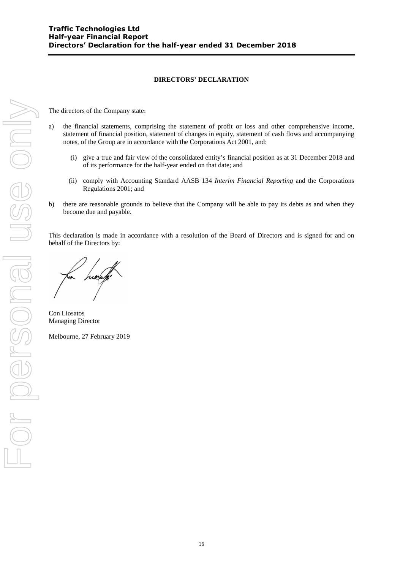### **DIRECTORS' DECLARATION**

The directors of the Company state:

- a) the financial statements, comprising the statement of profit or loss and other comprehensive income, statement of financial position, statement of changes in equity, statement of cash flows and accompanying notes, of the Group are in accordance with the Corporations Act 2001, and:
	- (i) give a true and fair view of the consolidated entity's financial position as at 31 December 2018 and of its performance for the half-year ended on that date; and
	- (ii) comply with Accounting Standard AASB 134 *Interim Financial Reporting* and the Corporations Regulations 2001; and
- b) there are reasonable grounds to believe that the Company will be able to pay its debts as and when they become due and payable.

This declaration is made in accordance with a resolution of the Board of Directors and is signed for and on behalf of the Directors by:

hieran

Con Liosatos Managing Director

Melbourne, 27 February 2019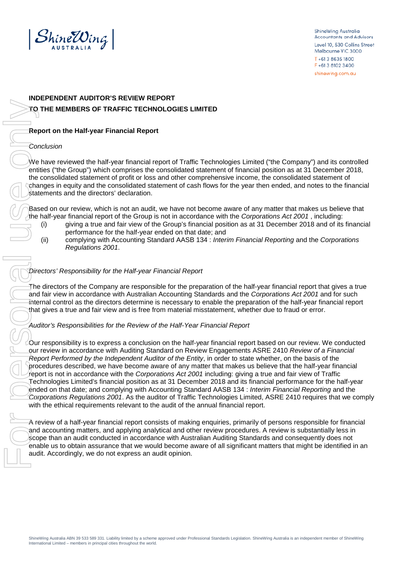

ShineWina Australia Accountants and Advisors Level 10, 530 Collins Street Melbourne VIC 3000 T+613 8635 1800 F+61381023400 shinewing.com.au

# **INDEPENDENT AUDITOR'S REVIEW REPORT TO THE MEMBERS OF TRAFFIC TECHNOLOGIES LIMITED**

## **Report on the Half-year Financial Report**

### *Conclusion*

We have reviewed the half-year financial report of Traffic Technologies Limited ("the Company") and its controlled entities ("the Group") which comprises the consolidated statement of financial position as at 31 December 2018, the consolidated statement of profit or loss and other comprehensive income, the consolidated statement of changes in equity and the consolidated statement of cash flows for the year then ended, and notes to the financial statements and the directors' declaration.

Based on our review, which is not an audit, we have not become aware of any matter that makes us believe that the half-year financial report of the Group is not in accordance with the *Corporations Act 2001* , including:

- (i) giving a true and fair view of the Group's financial position as at 31 December 2018 and of its financial performance for the half-year ended on that date; and
- (ii) complying with Accounting Standard AASB 134 : *Interim Financial Reporting* and the *Corporations Regulations 2001*.

### *Directors' Responsibility for the Half-year Financial Report*

The directors of the Company are responsible for the preparation of the half-year financial report that gives a true and fair view in accordance with Australian Accounting Standards and the *Corporations Act 2001* and for such internal control as the directors determine is necessary to enable the preparation of the half-year financial report that gives a true and fair view and is free from material misstatement, whether due to fraud or error.

### *Auditor's Responsibilities for the Review of the Half-Year Financial Report*

Our responsibility is to express a conclusion on the half-year financial report based on our review. We conducted our review in accordance with Auditing Standard on Review Engagements ASRE 2410 *Review of a Financial Report Performed by the Independent Auditor of the Entity*, in order to state whether, on the basis of the procedures described, we have become aware of any matter that makes us believe that the half-year financial report is not in accordance with the *Corporations Act 2001* including: giving a true and fair view of Traffic Technologies Limited's financial position as at 31 December 2018 and its financial performance for the half-year ended on that date; and complying with Accounting Standard AASB 134 : *Interim Financial Reporting* and the *Corporations Regulations 2001*. As the auditor of Traffic Technologies Limited, ASRE 2410 requires that we comply with the ethical requirements relevant to the audit of the annual financial report.

A review of a half-year financial report consists of making enquiries, primarily of persons responsible for financial and accounting matters, and applying analytical and other review procedures. A review is substantially less in scope than an audit conducted in accordance with Australian Auditing Standards and consequently does not enable us to obtain assurance that we would become aware of all significant matters that might be identified in an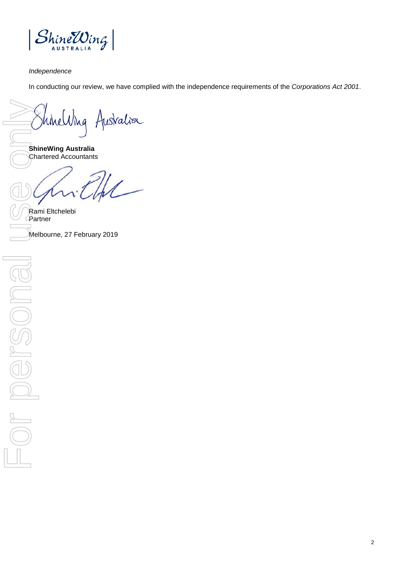

### *Independence*

In conducting our review, we have complied with the independence requirements of the *Corporations Act 2001*.

**ShineWing Australia**  Chartered Accountants

Rami Eltchelebi Partner ShineWing Australia<br>
ShineWing Australia<br>
Chartered Accountants<br>
Melbourne, 27 February 2019<br>
Fortner<br>
Melbourne, 27 February 2019<br>
Consults on the Accountants<br>
Consults of the Partner<br>
Consults of the Accountants<br>
Consult

2